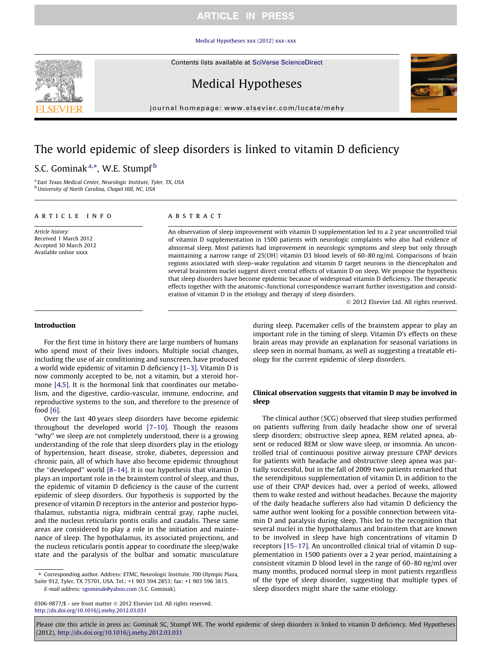# **ARTICLE IN PRESS**

#### [Medical Hypotheses xxx \(2012\) xxx–xxx](http://dx.doi.org/10.1016/j.mehy.2012.03.031)

Contents lists available at [SciVerse ScienceDirect](http://www.sciencedirect.com/science/journal/03069877)



journal homepage: [www.elsevier.com/locate/mehy](http://www.elsevier.com/locate/mehy)

# The world epidemic of sleep disorders is linked to vitamin D deficiency

## S.C. Gominak <sup>a,\*</sup>, W.E. Stumpf <sup>b</sup>

<sup>a</sup> East Texas Medical Center, Neurologic Institute, Tyler, TX, USA <sup>b</sup> University of North Carolina, Chapel Hill, NC, USA

#### article info

Article history: Received 1 March 2012 Accepted 30 March 2012 Available online xxxx

#### **ABSTRACT**

An observation of sleep improvement with vitamin D supplementation led to a 2 year uncontrolled trial of vitamin D supplementation in 1500 patients with neurologic complaints who also had evidence of abnormal sleep. Most patients had improvement in neurologic symptoms and sleep but only through maintaining a narrow range of 25(OH) vitamin D3 blood levels of 60–80 ng/ml. Comparisons of brain regions associated with sleep–wake regulation and vitamin D target neurons in the diencephalon and several brainstem nuclei suggest direct central effects of vitamin D on sleep. We propose the hypothesis that sleep disorders have become epidemic because of widespread vitamin D deficiency. The therapeutic effects together with the anatomic–functional correspondence warrant further investigation and consideration of vitamin D in the etiology and therapy of sleep disorders.

- 2012 Elsevier Ltd. All rights reserved.

#### Introduction

For the first time in history there are large numbers of humans who spend most of their lives indoors. Multiple social changes, including the use of air conditioning and sunscreen, have produced a world wide epidemic of vitamin D deficiency [\[1–3\]](#page-3-0). Vitamin D is now commonly accepted to be, not a vitamin, but a steroid hormone [\[4,5\]](#page-3-0). It is the hormonal link that coordinates our metabolism, and the digestive, cardio-vascular, immune, endocrine, and reproductive systems to the sun, and therefore to the presence of food [\[6\].](#page-3-0)

Over the last 40 years sleep disorders have become epidemic throughout the developed world [\[7–10\].](#page-3-0) Though the reasons ''why'' we sleep are not completely understood, there is a growing understanding of the role that sleep disorders play in the etiology of hypertension, heart disease, stroke, diabetes, depression and chronic pain, all of which have also become epidemic throughout the ''developed'' world [\[8–14\].](#page-3-0) It is our hypothesis that vitamin D plays an important role in the brainstem control of sleep, and thus, the epidemic of vitamin D deficiency is the cause of the current epidemic of sleep disorders. Our hypothesis is supported by the presence of vitamin D receptors in the anterior and posterior hypothalamus, substantia nigra, midbrain central gray, raphe nuclei, and the nucleus reticularis pontis oralis and caudalis. These same areas are considered to play a role in the initiation and maintenance of sleep. The hypothalamus, its associated projections, and the nucleus reticularis pontis appear to coordinate the sleep/wake state and the paralysis of the bulbar and somatic musculature

0306-9877/\$ - see front matter © 2012 Elsevier Ltd. All rights reserved. <http://dx.doi.org/10.1016/j.mehy.2012.03.031>

during sleep. Pacemaker cells of the brainstem appear to play an important role in the timing of sleep. Vitamin D's effects on these brain areas may provide an explanation for seasonal variations in sleep seen in normal humans, as well as suggesting a treatable etiology for the current epidemic of sleep disorders.

#### Clinical observation suggests that vitamin D may be involved in sleep

The clinical author (SCG) observed that sleep studies performed on patients suffering from daily headache show one of several sleep disorders; obstructive sleep apnea, REM related apnea, absent or reduced REM or slow wave sleep, or insomnia. An uncontrolled trial of continuous positive airway pressure CPAP devices for patients with headache and obstructive sleep apnea was partially successful, but in the fall of 2009 two patients remarked that the serendipitous supplementation of vitamin D, in addition to the use of their CPAP devices had, over a period of weeks, allowed them to wake rested and without headaches. Because the majority of the daily headache sufferers also had vitamin D deficiency the same author went looking for a possible connection between vitamin D and paralysis during sleep. This led to the recognition that several nuclei in the hypothalamus and brainstem that are known to be involved in sleep have high concentrations of vitamin D receptors [\[15–17\]](#page-3-0). An uncontrolled clinical trial of vitamin D supplementation in 1500 patients over a 2 year period, maintaining a consistent vitamin D blood level in the range of 60–80 ng/ml over many months, produced normal sleep in most patients regardless of the type of sleep disorder, suggesting that multiple types of sleep disorders might share the same etiology.

Please cite this article in press as: Gominak SC, Stumpf WE. The world epidemic of sleep disorders is linked to vitamin D deficiency. Med Hypotheses (2012), <http://dx.doi.org/10.1016/j.mehy.2012.03.031>

<sup>⇑</sup> Corresponding author. Address: ETMC, Neurologic Institute, 700 Olympic Plaza, Suite 912, Tyler, TX 75701, USA. Tel.: +1 903 594 2853; fax: +1 903 596 3815. E-mail address: [sgominak@yahoo.com](mailto:sgominak@yahoo.com) (S.C. Gominak).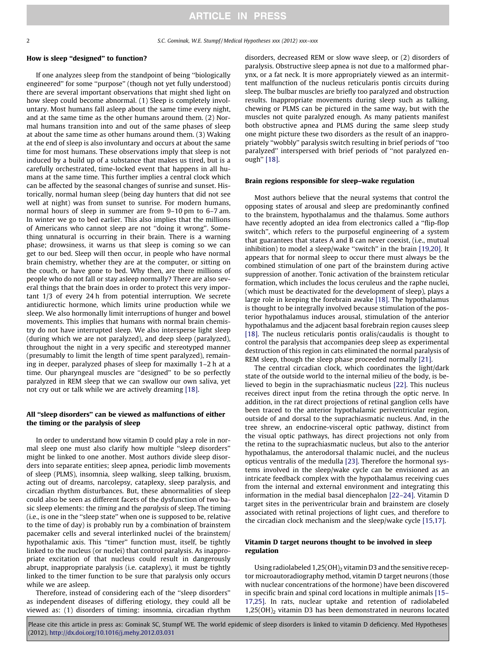#### How is sleep "designed" to function?

If one analyzes sleep from the standpoint of being ''biologically engineered'' for some ''purpose'' (though not yet fully understood) there are several important observations that might shed light on how sleep could become abnormal. (1) Sleep is completely involuntary. Most humans fall asleep about the same time every night, and at the same time as the other humans around them. (2) Normal humans transition into and out of the same phases of sleep at about the same time as other humans around them. (3) Waking at the end of sleep is also involuntary and occurs at about the same time for most humans. These observations imply that sleep is not induced by a build up of a substance that makes us tired, but is a carefully orchestrated, time-locked event that happens in all humans at the same time. This further implies a central clock which can be affected by the seasonal changes of sunrise and sunset. Historically, normal human sleep (being day hunters that did not see well at night) was from sunset to sunrise. For modern humans, normal hours of sleep in summer are from 9–10 pm to 6–7 am. In winter we go to bed earlier. This also implies that the millions of Americans who cannot sleep are not ''doing it wrong''. Something unnatural is occurring in their brain. There is a warning phase; drowsiness, it warns us that sleep is coming so we can get to our bed. Sleep will then occur, in people who have normal brain chemistry, whether they are at the computer, or sitting on the couch, or have gone to bed. Why then, are there millions of people who do not fall or stay asleep normally? There are also several things that the brain does in order to protect this very important 1/3 of every 24 h from potential interruption. We secrete antidiurectic hormone, which limits urine production while we sleep. We also hormonally limit interruptions of hunger and bowel movements. This implies that humans with normal brain chemistry do not have interrupted sleep. We also intersperse light sleep (during which we are not paralyzed), and deep sleep (paralyzed), throughout the night in a very specific and stereotyped manner (presumably to limit the length of time spent paralyzed), remaining in deeper, paralyzed phases of sleep for maximally 1–2 h at a time. Our pharyngeal muscles are ''designed'' to be so perfectly paralyzed in REM sleep that we can swallow our own saliva, yet not cry out or talk while we are actively dreaming [\[18\]](#page-3-0).

### All ''sleep disorders'' can be viewed as malfunctions of either the timing or the paralysis of sleep

In order to understand how vitamin D could play a role in normal sleep one must also clarify how multiple ''sleep disorders'' might be linked to one another. Most authors divide sleep disorders into separate entities; sleep apnea, periodic limb movements of sleep (PLMS), insomnia, sleep walking, sleep talking, bruxism, acting out of dreams, narcolepsy, cataplexy, sleep paralysis, and circadian rhythm disturbances. But, these abnormalities of sleep could also be seen as different facets of the dysfunction of two basic sleep elements: the timing and the paralysis of sleep. The timing (i.e., is one in the ''sleep state'' when one is supposed to be, relative to the time of day) is probably run by a combination of brainstem pacemaker cells and several interlinked nuclei of the brainstem/ hypothalamic axis. This "timer" function must, itself, be tightly linked to the nucleus (or nuclei) that control paralysis. As inappropriate excitation of that nucleus could result in dangerously abrupt, inappropriate paralysis (i.e. cataplexy), it must be tightly linked to the timer function to be sure that paralysis only occurs while we are asleep.

Therefore, instead of considering each of the ''sleep disorders'' as independent diseases of differing etiology, they could all be viewed as: (1) disorders of timing: insomnia, circadian rhythm

disorders, decreased REM or slow wave sleep, or (2) disorders of paralysis. Obstructive sleep apnea is not due to a malformed pharynx, or a fat neck. It is more appropriately viewed as an intermittent malfunction of the nucleus reticularis pontis circuits during sleep. The bulbar muscles are briefly too paralyzed and obstruction results. Inappropriate movements during sleep such as talking, chewing or PLMS can be pictured in the same way, but with the muscles not quite paralyzed enough. As many patients manifest both obstructive apnea and PLMS during the same sleep study one might picture these two disorders as the result of an inappropriately ''wobbly'' paralysis switch resulting in brief periods of ''too paralyzed'' interspersed with brief periods of ''not paralyzed enough'' [\[18\]](#page-3-0).

#### Brain regions responsible for sleep–wake regulation

Most authors believe that the neural systems that control the opposing states of arousal and sleep are predominantly confined to the brainstem, hypothalamus and the thalamus. Some authors have recently adopted an idea from electronics called a ''flip-flop switch'', which refers to the purposeful engineering of a system that guarantees that states A and B can never coexist, (i.e., mutual inhibition) to model a sleep/wake ''switch'' in the brain [\[19,20\].](#page-3-0) It appears that for normal sleep to occur there must always be the combined stimulation of one part of the brainstem during active suppression of another. Tonic activation of the brainstem reticular formation, which includes the locus ceruleus and the raphe nuclei, (which must be deactivated for the development of sleep), plays a large role in keeping the forebrain awake [\[18\].](#page-3-0) The hypothalamus is thought to be integrally involved because stimulation of the posterior hypothalamus induces arousal, stimulation of the anterior hypothalamus and the adjacent basal forebrain region causes sleep [\[18\]](#page-3-0). The nucleus reticularis pontis oralis/caudalis is thought to control the paralysis that accompanies deep sleep as experimental destruction of this region in cats eliminated the normal paralysis of REM sleep, though the sleep phase proceeded normally [\[21\].](#page-3-0)

The central circadian clock, which coordinates the light/dark state of the outside world to the internal milieu of the body, is believed to begin in the suprachiasmatic nucleus [\[22\].](#page-3-0) This nucleus receives direct input from the retina through the optic nerve. In addition, in the rat direct projections of retinal ganglion cells have been traced to the anterior hypothalamic periventricular region, outside of and dorsal to the suprachiasmatic nucleus. And, in the tree shrew, an endocrine-visceral optic pathway, distinct from the visual optic pathways, has direct projections not only from the retina to the suprachiasmatic nucleus, but also to the anterior hypothalamus, the anterodorsal thalamic nuclei, and the nucleus opticus ventralis of the medulla [\[23\]](#page-3-0). Therefore the hormonal systems involved in the sleep/wake cycle can be envisioned as an intricate feedback complex with the hypothalamus receiving cues from the internal and external environment and integrating this information in the medial basal diencephalon [\[22–24\]](#page-3-0). Vitamin D target sites in the periventricular brain and brainstem are closely associated with retinal projections of light cues, and therefore to the circadian clock mechanism and the sleep/wake cycle [\[15,17\]](#page-3-0).

#### Vitamin D target neurons thought to be involved in sleep regulation

Using radiolabeled  $1,25(OH)_2$  vitamin D3 and the sensitive receptor microautoradiography method, vitamin D target neurons (those with nuclear concentrations of the hormone) have been discovered in specific brain and spinal cord locations in multiple animals [\[15–](#page-3-0) [17,25\].](#page-3-0) In rats, nuclear uptake and retention of radiolabeled  $1,25(OH)_2$  vitamin D3 has been demonstrated in neurons located

Please cite this article in press as: Gominak SC, Stumpf WE. The world epidemic of sleep disorders is linked to vitamin D deficiency. Med Hypotheses (2012), <http://dx.doi.org/10.1016/j.mehy.2012.03.031>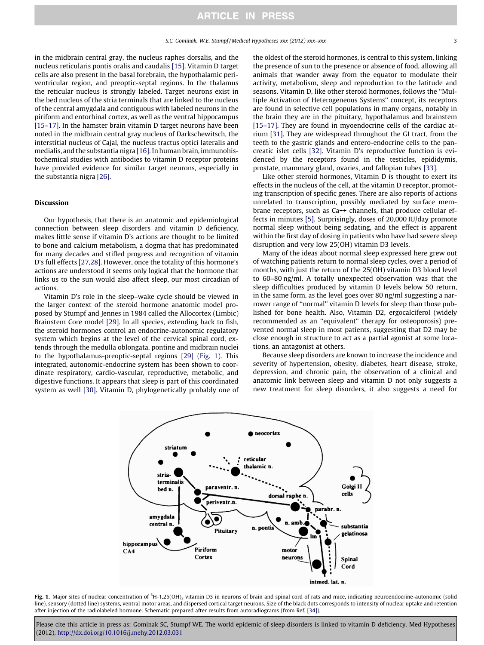in the midbrain central gray, the nucleus raphes dorsalis, and the nucleus reticularis pontis oralis and caudalis [\[15\].](#page-3-0) Vitamin D target cells are also present in the basal forebrain, the hypothalamic periventricular region, and preoptic-septal regions. In the thalamus the reticular nucleus is strongly labeled. Target neurons exist in the bed nucleus of the stria terminals that are linked to the nucleus of the central amygdala and contiguous with labeled neurons in the piriform and entorhinal cortex, as well as the ventral hippocampus [\[15–17\]](#page-3-0). In the hamster brain vitamin D target neurons have been noted in the midbrain central gray nucleus of Darkschewitsch, the interstitial nucleus of Cajal, the nucleus tractus optici lateralis and medialis, and the substantia nigra [\[16\].](#page-3-0) In human brain, immunohistochemical studies with antibodies to vitamin D receptor proteins have provided evidence for similar target neurons, especially in the substantia nigra [\[26\].](#page-3-0)

#### Discussion

Our hypothesis, that there is an anatomic and epidemiological connection between sleep disorders and vitamin D deficiency, makes little sense if vitamin D's actions are thought to be limited to bone and calcium metabolism, a dogma that has predominated for many decades and stifled progress and recognition of vitamin D's full effects [\[27,28\].](#page-3-0) However, once the totality of this hormone's actions are understood it seems only logical that the hormone that links us to the sun would also affect sleep, our most circadian of actions.

Vitamin D's role in the sleep–wake cycle should be viewed in the larger context of the steroid hormone anatomic model proposed by Stumpf and Jennes in 1984 called the Allocortex (Limbic) Brainstem Core model [\[29\]](#page-3-0). In all species, extending back to fish, the steroid hormones control an endocrine-autonomic regulatory system which begins at the level of the cervical spinal cord, extends through the medulla oblongata, pontine and midbrain nuclei to the hypothalamus-preoptic-septal regions [\[29\]](#page-3-0) (Fig. 1). This integrated, autonomic-endocrine system has been shown to coordinate respiratory, cardio-vascular, reproductive, metabolic, and digestive functions. It appears that sleep is part of this coordinated system as well [\[30\]](#page-3-0). Vitamin D, phylogenetically probably one of the oldest of the steroid hormones, is central to this system, linking the presence of sun to the presence or absence of food, allowing all animals that wander away from the equator to modulate their activity, metabolism, sleep and reproduction to the latitude and seasons. Vitamin D, like other steroid hormones, follows the ''Multiple Activation of Heterogeneous Systems'' concept, its receptors are found in selective cell populations in many organs, notably in the brain they are in the pituitary, hypothalamus and brainstem [\[15–17\]](#page-3-0). They are found in myoendocrine cells of the cardiac atrium [\[31\]](#page-3-0). They are widespread throughout the GI tract, from the teeth to the gastric glands and entero-endocrine cells to the pancreatic islet cells [\[32\]](#page-3-0). Vitamin D's reproductive function is evidenced by the receptors found in the testicles, epididymis, prostate, mammary gland, ovaries, and fallopian tubes [\[33\].](#page-3-0)

Like other steroid hormones, Vitamin D is thought to exert its effects in the nucleus of the cell, at the vitamin D receptor, promoting transcription of specific genes. There are also reports of actions unrelated to transcription, possibly mediated by surface membrane receptors, such as Ca++ channels, that produce cellular effects in minutes [\[5\]](#page-3-0). Surprisingly, doses of 20,000 IU/day promote normal sleep without being sedating, and the effect is apparent within the first day of dosing in patients who have had severe sleep disruption and very low 25(OH) vitamin D3 levels.

Many of the ideas about normal sleep expressed here grew out of watching patients return to normal sleep cycles, over a period of months, with just the return of the 25(OH) vitamin D3 blood level to 60–80 ng/ml. A totally unexpected observation was that the sleep difficulties produced by vitamin D levels below 50 return, in the same form, as the level goes over 80 ng/ml suggesting a narrower range of ''normal'' vitamin D levels for sleep than those published for bone health. Also, Vitamin D2, ergocalciferol (widely recommended as an ''equivalent'' therapy for osteoporosis) prevented normal sleep in most patients, suggesting that D2 may be close enough in structure to act as a partial agonist at some locations, an antagonist at others.

Because sleep disorders are known to increase the incidence and severity of hypertension, obesity, diabetes, heart disease, stroke, depression, and chronic pain, the observation of a clinical and anatomic link between sleep and vitamin D not only suggests a new treatment for sleep disorders, it also suggests a need for



**Fig. 1.** Major sites of nuclear concentration of  ${}^3\text{H-1,25(OH)_2}$  vitamin D3 in neurons of brain and spinal cord of rats and mice, indicating neuroendocrine-autonomic (solid line), sensory (dotted line) systems, ventral motor areas, and dispersed cortical target neurons. Size of the black dots corresponds to intensity of nuclear uptake and retention after injection of the radiolabeled hormone. Schematic prepared after results from autoradiograms (from Ref. [\[34\]\)](#page-3-0).

Please cite this article in press as: Gominak SC, Stumpf WE. The world epidemic of sleep disorders is linked to vitamin D deficiency. Med Hypotheses (2012), <http://dx.doi.org/10.1016/j.mehy.2012.03.031>